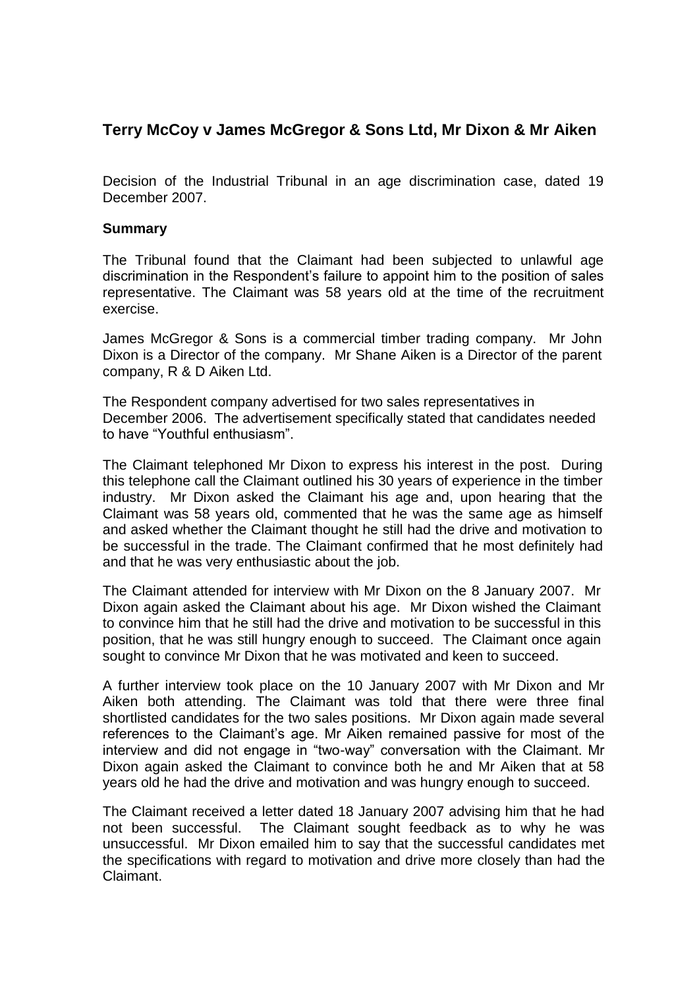## **Terry McCoy v James McGregor & Sons Ltd, Mr Dixon & Mr Aiken**

Decision of the Industrial Tribunal in an age discrimination case, dated 19 December 2007.

## **Summary**

The Tribunal found that the Claimant had been subjected to unlawful age discrimination in the Respondent's failure to appoint him to the position of sales representative. The Claimant was 58 years old at the time of the recruitment exercise.

James McGregor & Sons is a commercial timber trading company. Mr John Dixon is a Director of the company. Mr Shane Aiken is a Director of the parent company, R & D Aiken Ltd.

The Respondent company advertised for two sales representatives in December 2006. The advertisement specifically stated that candidates needed to have "Youthful enthusiasm".

The Claimant telephoned Mr Dixon to express his interest in the post. During this telephone call the Claimant outlined his 30 years of experience in the timber industry. Mr Dixon asked the Claimant his age and, upon hearing that the Claimant was 58 years old, commented that he was the same age as himself and asked whether the Claimant thought he still had the drive and motivation to be successful in the trade. The Claimant confirmed that he most definitely had and that he was very enthusiastic about the job.

The Claimant attended for interview with Mr Dixon on the 8 January 2007. Mr Dixon again asked the Claimant about his age. Mr Dixon wished the Claimant to convince him that he still had the drive and motivation to be successful in this position, that he was still hungry enough to succeed. The Claimant once again sought to convince Mr Dixon that he was motivated and keen to succeed.

A further interview took place on the 10 January 2007 with Mr Dixon and Mr Aiken both attending. The Claimant was told that there were three final shortlisted candidates for the two sales positions. Mr Dixon again made several references to the Claimant's age. Mr Aiken remained passive for most of the interview and did not engage in "two-way" conversation with the Claimant. Mr Dixon again asked the Claimant to convince both he and Mr Aiken that at 58 years old he had the drive and motivation and was hungry enough to succeed.

The Claimant received a letter dated 18 January 2007 advising him that he had not been successful. The Claimant sought feedback as to why he was unsuccessful. Mr Dixon emailed him to say that the successful candidates met the specifications with regard to motivation and drive more closely than had the Claimant.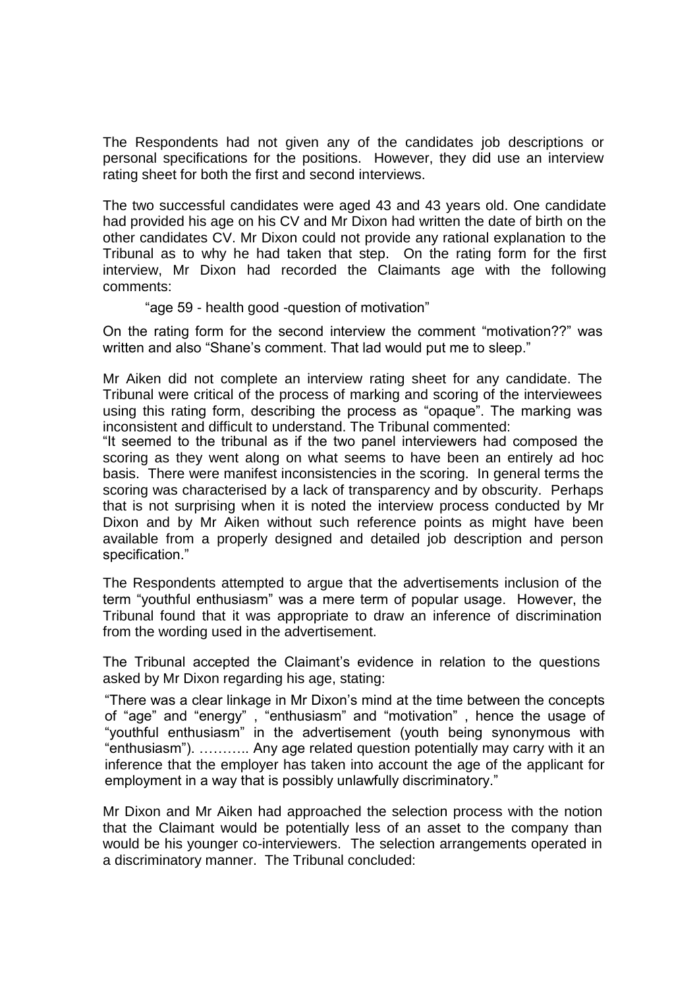The Respondents had not given any of the candidates job descriptions or personal specifications for the positions. However, they did use an interview rating sheet for both the first and second interviews.

The two successful candidates were aged 43 and 43 years old. One candidate had provided his age on his CV and Mr Dixon had written the date of birth on the other candidates CV. Mr Dixon could not provide any rational explanation to the Tribunal as to why he had taken that step. On the rating form for the first interview, Mr Dixon had recorded the Claimants age with the following comments:

## "age 59 - health good -question of motivation"

On the rating form for the second interview the comment "motivation??" was written and also "Shane's comment. That lad would put me to sleep."

Mr Aiken did not complete an interview rating sheet for any candidate. The Tribunal were critical of the process of marking and scoring of the interviewees using this rating form, describing the process as "opaque". The marking was inconsistent and difficult to understand. The Tribunal commented:

"It seemed to the tribunal as if the two panel interviewers had composed the scoring as they went along on what seems to have been an entirely ad hoc basis. There were manifest inconsistencies in the scoring. In general terms the scoring was characterised by a lack of transparency and by obscurity. Perhaps that is not surprising when it is noted the interview process conducted by Mr Dixon and by Mr Aiken without such reference points as might have been available from a properly designed and detailed job description and person specification."

The Respondents attempted to argue that the advertisements inclusion of the term "youthful enthusiasm" was a mere term of popular usage. However, the Tribunal found that it was appropriate to draw an inference of discrimination from the wording used in the advertisement.

The Tribunal accepted the Claimant's evidence in relation to the questions asked by Mr Dixon regarding his age, stating:

"There was a clear linkage in Mr Dixon's mind at the time between the concepts of "age" and "energy" , "enthusiasm" and "motivation" , hence the usage of "youthful enthusiasm" in the advertisement (youth being synonymous with "enthusiasm"). ……….. Any age related question potentially may carry with it an inference that the employer has taken into account the age of the applicant for employment in a way that is possibly unlawfully discriminatory."

Mr Dixon and Mr Aiken had approached the selection process with the notion that the Claimant would be potentially less of an asset to the company than would be his younger co-interviewers. The selection arrangements operated in a discriminatory manner. The Tribunal concluded: